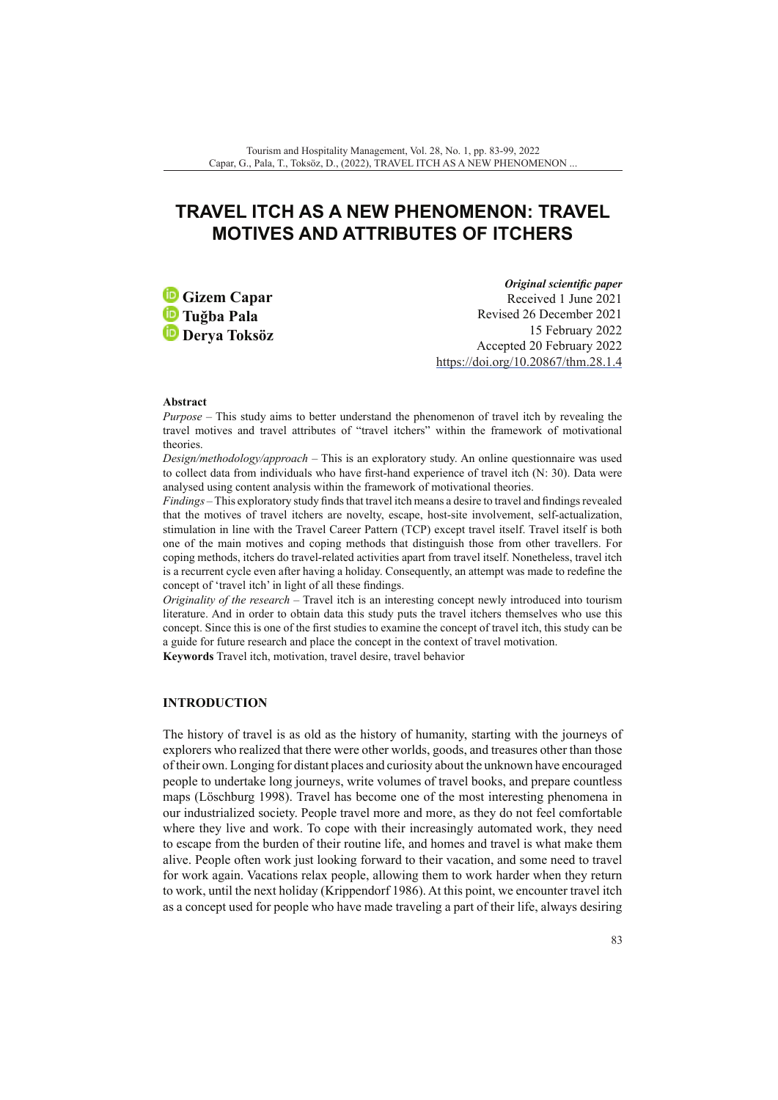# **TRAVEL ITCH AS A NEW PHENOMENON: TRAVEL MOTIVES AND ATTRIBUTES OF ITCHERS**

**Gizem Capar Tuğba Pala Derya Toksöz**

*Original scientific paper* Received 1 June 2021 Revised 26 December 2021 15 February 2022 Accepted 20 February 2022 [https://doi.org/10.20867/thm.28.1.4](https://doi.org./10.20867/thm.28.1.4)

#### **Abstract**

*Purpose* – This study aims to better understand the phenomenon of travel itch by revealing the travel motives and travel attributes of "travel itchers" within the framework of motivational theories.

*Design/methodology/approach* – This is an exploratory study. An online questionnaire was used to collect data from individuals who have first-hand experience of travel itch (N: 30). Data were analysed using content analysis within the framework of motivational theories.

*Findings* – This exploratory study finds that travel itch means a desire to travel and findings revealed that the motives of travel itchers are novelty, escape, host-site involvement, self-actualization, stimulation in line with the Travel Career Pattern (TCP) except travel itself. Travel itself is both one of the main motives and coping methods that distinguish those from other travellers. For coping methods, itchers do travel-related activities apart from travel itself. Nonetheless, travel itch is a recurrent cycle even after having a holiday. Consequently, an attempt was made to redefine the concept of 'travel itch' in light of all these findings.

*Originality of the research* – Travel itch is an interesting concept newly introduced into tourism literature. And in order to obtain data this study puts the travel itchers themselves who use this concept. Since this is one of the first studies to examine the concept of travel itch, this study can be a guide for future research and place the concept in the context of travel motivation. **Keywords** Travel itch, motivation, travel desire, travel behavior

### **INTRODUCTION**

The history of travel is as old as the history of humanity, starting with the journeys of explorers who realized that there were other worlds, goods, and treasures other than those of their own. Longing for distant places and curiosity about the unknown have encouraged people to undertake long journeys, write volumes of travel books, and prepare countless maps (Löschburg 1998). Travel has become one of the most interesting phenomena in our industrialized society. People travel more and more, as they do not feel comfortable where they live and work. To cope with their increasingly automated work, they need to escape from the burden of their routine life, and homes and travel is what make them alive. People often work just looking forward to their vacation, and some need to travel for work again. Vacations relax people, allowing them to work harder when they return to work, until the next holiday (Krippendorf 1986). At this point, we encounter travel itch as a concept used for people who have made traveling a part of their life, always desiring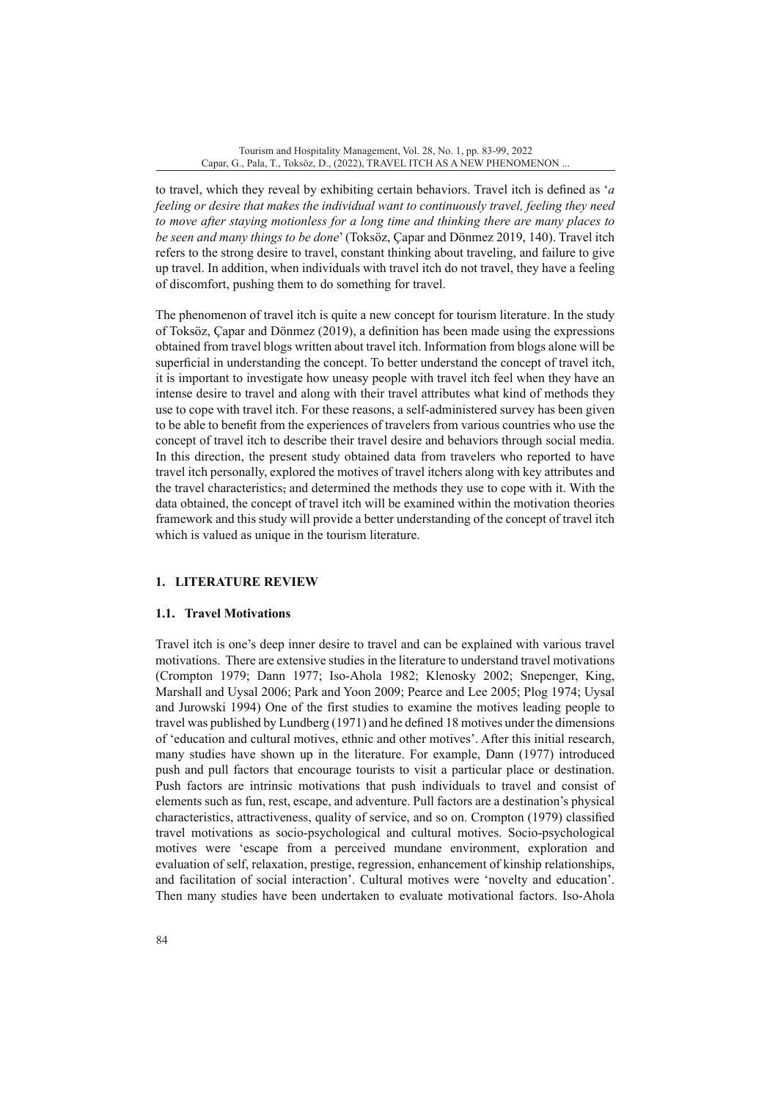to travel, which they reveal by exhibiting certain behaviors. Travel itch is defined as '*a feeling or desire that makes the individual want to continuously travel, feeling they need to move after staying motionless for a long time and thinking there are many places to be seen and many things to be done*' (Toksöz, Çapar and Dönmez 2019, 140). Travel itch refers to the strong desire to travel, constant thinking about traveling, and failure to give up travel. In addition, when individuals with travel itch do not travel, they have a feeling of discomfort, pushing them to do something for travel.

The phenomenon of travel itch is quite a new concept for tourism literature. In the study of Toksöz, Çapar and Dönmez (2019), a definition has been made using the expressions obtained from travel blogs written about travel itch. Information from blogs alone will be superficial in understanding the concept. To better understand the concept of travel itch, it is important to investigate how uneasy people with travel itch feel when they have an intense desire to travel and along with their travel attributes what kind of methods they use to cope with travel itch. For these reasons, a self-administered survey has been given to be able to benefit from the experiences of travelers from various countries who use the concept of travel itch to describe their travel desire and behaviors through social media. In this direction, the present study obtained data from travelers who reported to have travel itch personally, explored the motives of travel itchers along with key attributes and the travel characteristics, and determined the methods they use to cope with it. With the data obtained, the concept of travel itch will be examined within the motivation theories framework and this study will provide a better understanding of the concept of travel itch which is valued as unique in the tourism literature.

### **1. LITERATURE REVIEW**

#### **1.1. Travel Motivations**

Travel itch is one's deep inner desire to travel and can be explained with various travel motivations. There are extensive studies in the literature to understand travel motivations (Crompton 1979; Dann 1977; Iso-Ahola 1982; Klenosky 2002; Snepenger, King, Marshall and Uysal 2006; Park and Yoon 2009; Pearce and Lee 2005; Plog 1974; Uysal and Jurowski 1994) One of the first studies to examine the motives leading people to travel was published by Lundberg (1971) and he defined 18 motives under the dimensions of 'education and cultural motives, ethnic and other motives'. After this initial research, many studies have shown up in the literature. For example, Dann (1977) introduced push and pull factors that encourage tourists to visit a particular place or destination. Push factors are intrinsic motivations that push individuals to travel and consist of elements such as fun, rest, escape, and adventure. Pull factors are a destination's physical characteristics, attractiveness, quality of service, and so on. Crompton (1979) classified travel motivations as socio-psychological and cultural motives. Socio-psychological motives were 'escape from a perceived mundane environment, exploration and evaluation of self, relaxation, prestige, regression, enhancement of kinship relationships, and facilitation of social interaction'. Cultural motives were 'novelty and education'. Then many studies have been undertaken to evaluate motivational factors. Iso-Ahola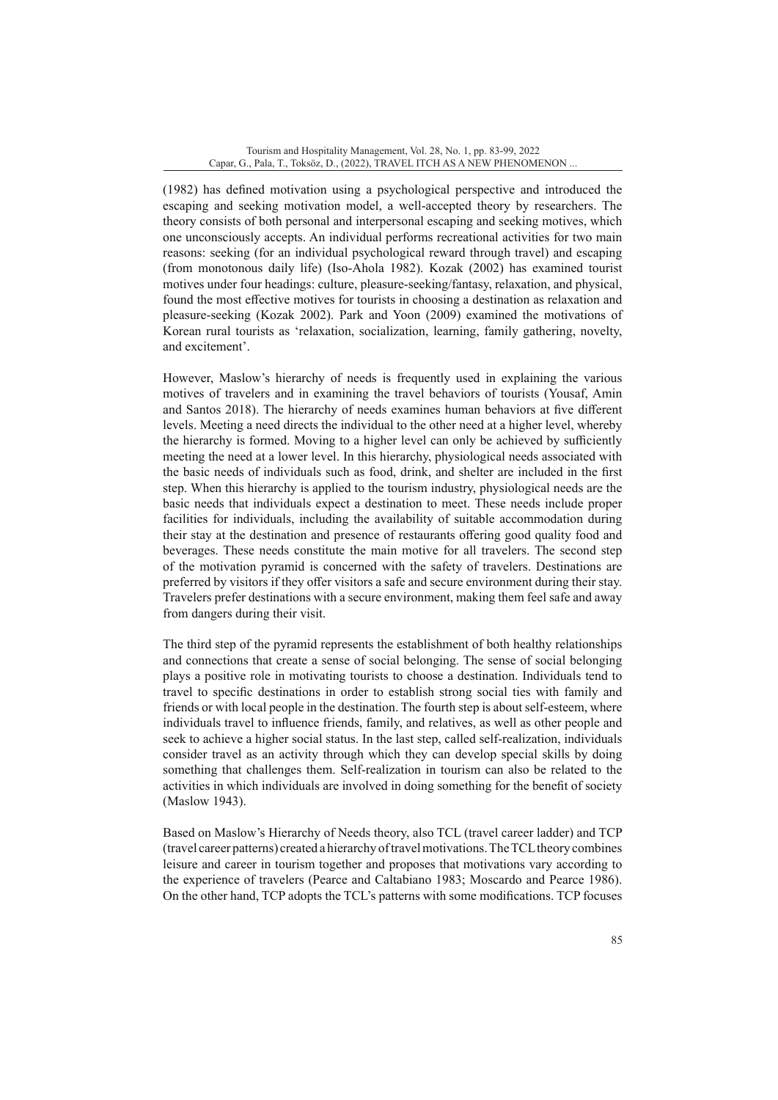(1982) has defined motivation using a psychological perspective and introduced the escaping and seeking motivation model, a well-accepted theory by researchers. The theory consists of both personal and interpersonal escaping and seeking motives, which one unconsciously accepts. An individual performs recreational activities for two main reasons: seeking (for an individual psychological reward through travel) and escaping (from monotonous daily life) (Iso-Ahola 1982). Kozak (2002) has examined tourist motives under four headings: culture, pleasure-seeking/fantasy, relaxation, and physical, found the most effective motives for tourists in choosing a destination as relaxation and pleasure-seeking (Kozak 2002). Park and Yoon (2009) examined the motivations of Korean rural tourists as 'relaxation, socialization, learning, family gathering, novelty, and excitement'.

However, Maslow's hierarchy of needs is frequently used in explaining the various motives of travelers and in examining the travel behaviors of tourists (Yousaf, Amin and Santos 2018). The hierarchy of needs examines human behaviors at five different levels. Meeting a need directs the individual to the other need at a higher level, whereby the hierarchy is formed. Moving to a higher level can only be achieved by sufficiently meeting the need at a lower level. In this hierarchy, physiological needs associated with the basic needs of individuals such as food, drink, and shelter are included in the first step. When this hierarchy is applied to the tourism industry, physiological needs are the basic needs that individuals expect a destination to meet. These needs include proper facilities for individuals, including the availability of suitable accommodation during their stay at the destination and presence of restaurants offering good quality food and beverages. These needs constitute the main motive for all travelers. The second step of the motivation pyramid is concerned with the safety of travelers. Destinations are preferred by visitors if they offer visitors a safe and secure environment during their stay. Travelers prefer destinations with a secure environment, making them feel safe and away from dangers during their visit.

The third step of the pyramid represents the establishment of both healthy relationships and connections that create a sense of social belonging. The sense of social belonging plays a positive role in motivating tourists to choose a destination. Individuals tend to travel to specific destinations in order to establish strong social ties with family and friends or with local people in the destination. The fourth step is about self-esteem, where individuals travel to influence friends, family, and relatives, as well as other people and seek to achieve a higher social status. In the last step, called self-realization, individuals consider travel as an activity through which they can develop special skills by doing something that challenges them. Self-realization in tourism can also be related to the activities in which individuals are involved in doing something for the benefit of society (Maslow 1943).

Based on Maslow's Hierarchy of Needs theory, also TCL (travel career ladder) and TCP (travel career patterns) created a hierarchy of travel motivations. The TCL theory combines leisure and career in tourism together and proposes that motivations vary according to the experience of travelers (Pearce and Caltabiano 1983; Moscardo and Pearce 1986). On the other hand, TCP adopts the TCL's patterns with some modifications. TCP focuses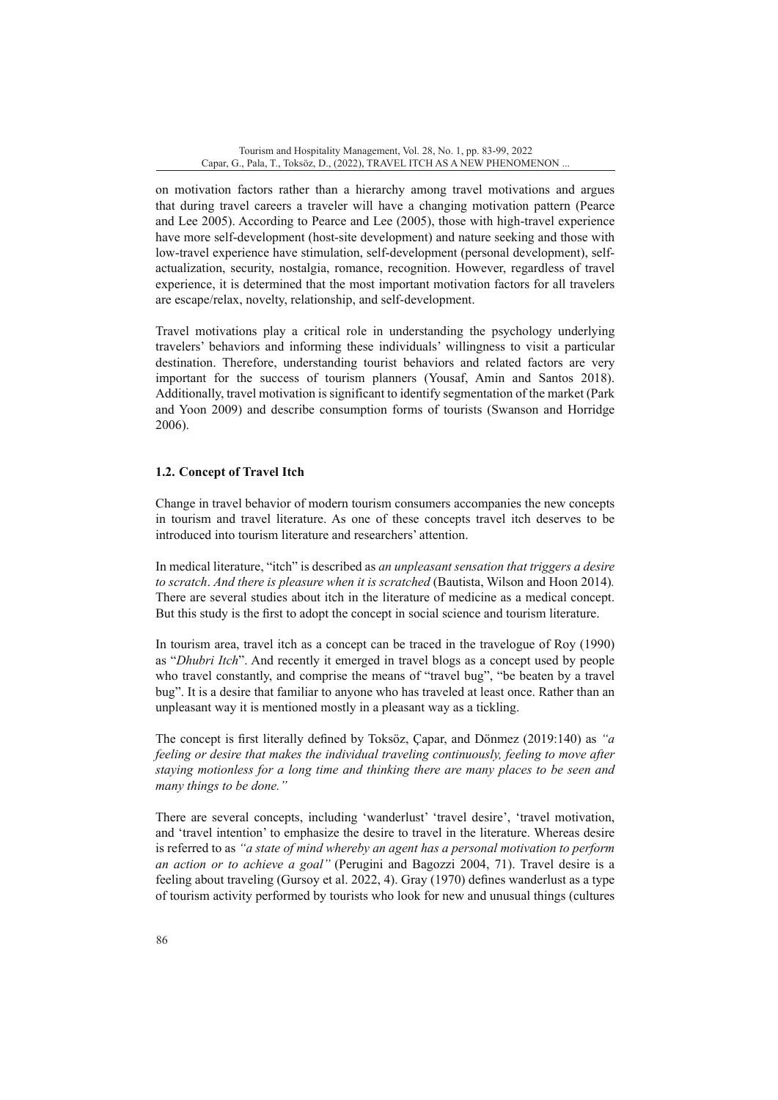on motivation factors rather than a hierarchy among travel motivations and argues that during travel careers a traveler will have a changing motivation pattern (Pearce and Lee 2005). According to Pearce and Lee (2005), those with high-travel experience have more self-development (host-site development) and nature seeking and those with low-travel experience have stimulation, self-development (personal development), selfactualization, security, nostalgia, romance, recognition. However, regardless of travel experience, it is determined that the most important motivation factors for all travelers are escape/relax, novelty, relationship, and self-development.

Travel motivations play a critical role in understanding the psychology underlying travelers' behaviors and informing these individuals' willingness to visit a particular destination. Therefore, understanding tourist behaviors and related factors are very important for the success of tourism planners (Yousaf, Amin and Santos 2018). Additionally, travel motivation is significant to identify segmentation of the market (Park and Yoon 2009) and describe consumption forms of tourists (Swanson and Horridge 2006).

# **1.2. Concept of Travel Itch**

Change in travel behavior of modern tourism consumers accompanies the new concepts in tourism and travel literature. As one of these concepts travel itch deserves to be introduced into tourism literature and researchers' attention.

In medical literature, "itch" is described as *an unpleasant sensation that triggers a desire to scratch*. *And there is pleasure when it is scratched* (Bautista, Wilson and Hoon 2014)*.*  There are several studies about itch in the literature of medicine as a medical concept. But this study is the first to adopt the concept in social science and tourism literature.

In tourism area, travel itch as a concept can be traced in the travelogue of Roy (1990) as "*Dhubri Itch*". And recently it emerged in travel blogs as a concept used by people who travel constantly, and comprise the means of "travel bug", "be beaten by a travel bug". It is a desire that familiar to anyone who has traveled at least once. Rather than an unpleasant way it is mentioned mostly in a pleasant way as a tickling.

The concept is first literally defined by Toksöz, Çapar, and Dönmez (2019:140) as *"a feeling or desire that makes the individual traveling continuously, feeling to move after staying motionless for a long time and thinking there are many places to be seen and many things to be done."*

There are several concepts, including 'wanderlust' 'travel desire', 'travel motivation, and 'travel intention' to emphasize the desire to travel in the literature. Whereas desire is referred to as *"a state of mind whereby an agent has a personal motivation to perform an action or to achieve a goal"* (Perugini and Bagozzi 2004, 71). Travel desire is a feeling about traveling (Gursoy et al. 2022, 4). Gray (1970) defines wanderlust as a type of tourism activity performed by tourists who look for new and unusual things (cultures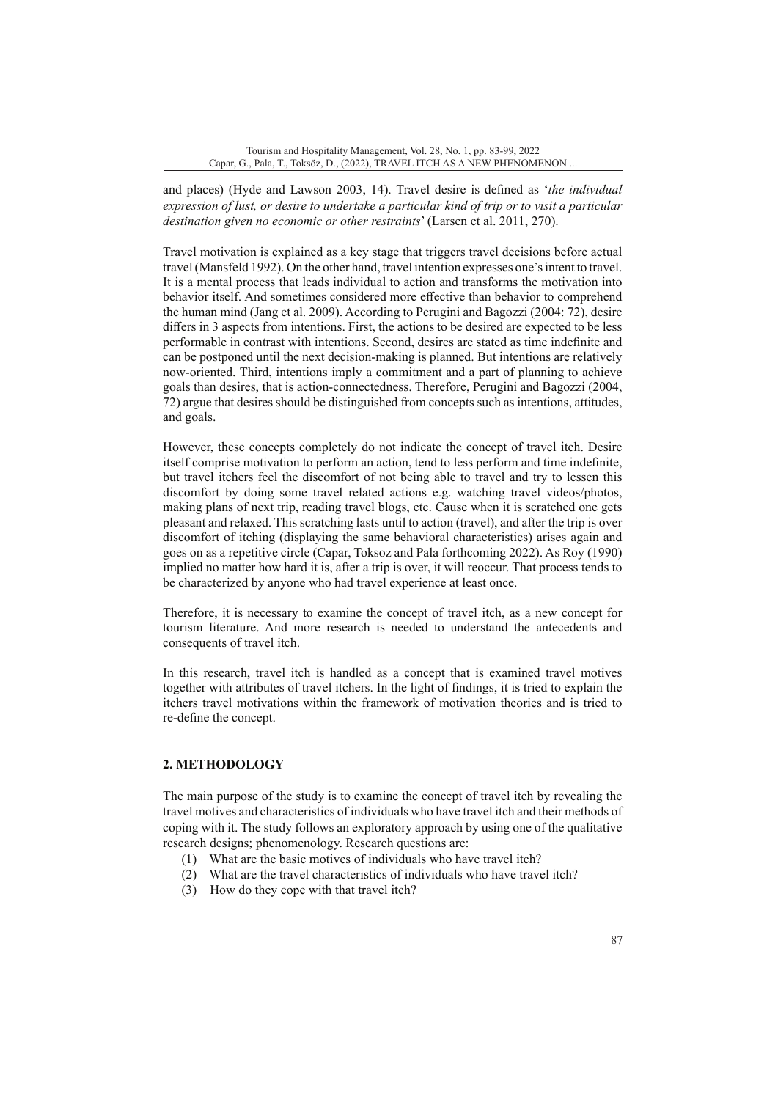and places) (Hyde and Lawson 2003, 14). Travel desire is defined as '*the individual expression of lust, or desire to undertake a particular kind of trip or to visit a particular destination given no economic or other restraints*' (Larsen et al. 2011, 270).

Travel motivation is explained as a key stage that triggers travel decisions before actual travel (Mansfeld 1992). On the other hand, travel intention expresses one's intent to travel. It is a mental process that leads individual to action and transforms the motivation into behavior itself. And sometimes considered more effective than behavior to comprehend the human mind (Jang et al. 2009). According to Perugini and Bagozzi (2004: 72), desire differs in 3 aspects from intentions. First, the actions to be desired are expected to be less performable in contrast with intentions. Second, desires are stated as time indefinite and can be postponed until the next decision-making is planned. But intentions are relatively now-oriented. Third, intentions imply a commitment and a part of planning to achieve goals than desires, that is action-connectedness. Therefore, Perugini and Bagozzi (2004, 72) argue that desires should be distinguished from concepts such as intentions, attitudes, and goals.

However, these concepts completely do not indicate the concept of travel itch. Desire itself comprise motivation to perform an action, tend to less perform and time indefinite, but travel itchers feel the discomfort of not being able to travel and try to lessen this discomfort by doing some travel related actions e.g. watching travel videos/photos, making plans of next trip, reading travel blogs, etc. Cause when it is scratched one gets pleasant and relaxed. This scratching lasts until to action (travel), and after the trip is over discomfort of itching (displaying the same behavioral characteristics) arises again and goes on as a repetitive circle (Capar, Toksoz and Pala forthcoming 2022). As Roy (1990) implied no matter how hard it is, after a trip is over, it will reoccur. That process tends to be characterized by anyone who had travel experience at least once.

Therefore, it is necessary to examine the concept of travel itch, as a new concept for tourism literature. And more research is needed to understand the antecedents and consequents of travel itch.

In this research, travel itch is handled as a concept that is examined travel motives together with attributes of travel itchers. In the light of findings, it is tried to explain the itchers travel motivations within the framework of motivation theories and is tried to re-define the concept.

# **2. METHODOLOGY**

The main purpose of the study is to examine the concept of travel itch by revealing the travel motives and characteristics of individuals who have travel itch and their methods of coping with it. The study follows an exploratory approach by using one of the qualitative research designs; phenomenology. Research questions are:

- (1) What are the basic motives of individuals who have travel itch?
- (2) What are the travel characteristics of individuals who have travel itch?
- (3) How do they cope with that travel itch?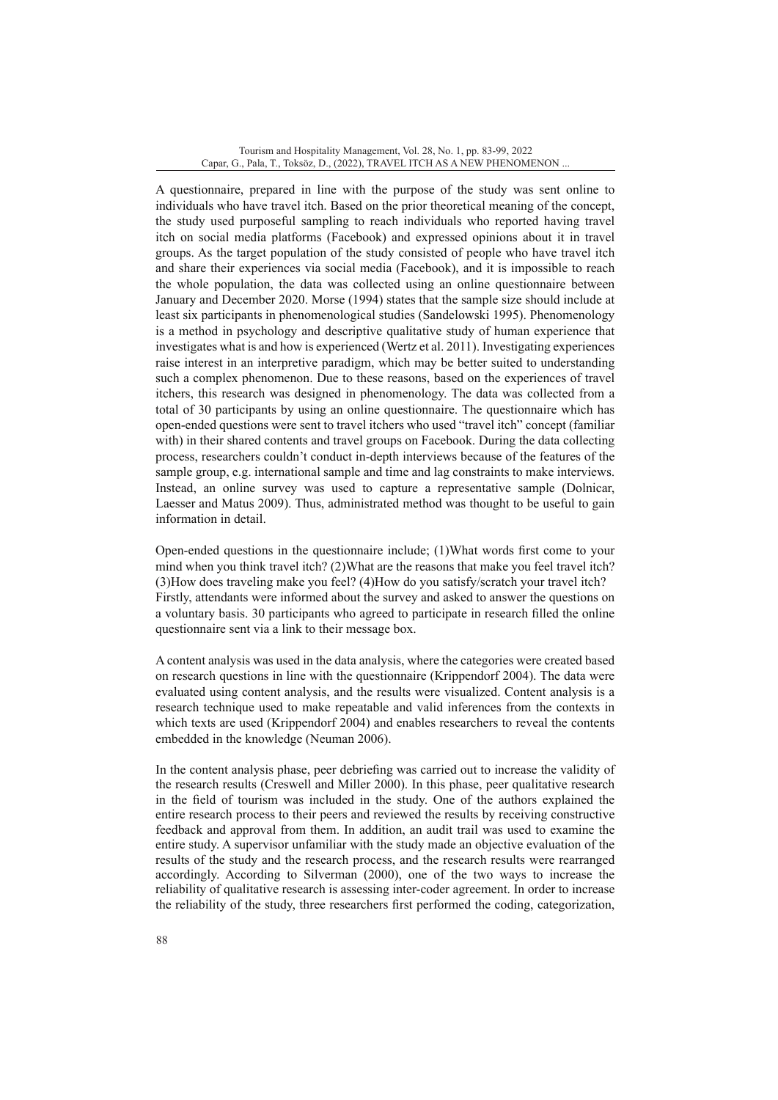A questionnaire, prepared in line with the purpose of the study was sent online to individuals who have travel itch. Based on the prior theoretical meaning of the concept, the study used purposeful sampling to reach individuals who reported having travel itch on social media platforms (Facebook) and expressed opinions about it in travel groups. As the target population of the study consisted of people who have travel itch and share their experiences via social media (Facebook), and it is impossible to reach the whole population, the data was collected using an online questionnaire between January and December 2020. Morse (1994) states that the sample size should include at least six participants in phenomenological studies (Sandelowski 1995). Phenomenology is a method in psychology and descriptive qualitative study of human experience that investigates what is and how is experienced (Wertz et al. 2011). Investigating experiences raise interest in an interpretive paradigm, which may be better suited to understanding such a complex phenomenon. Due to these reasons, based on the experiences of travel itchers, this research was designed in phenomenology. The data was collected from a total of 30 participants by using an online questionnaire. The questionnaire which has open-ended questions were sent to travel itchers who used "travel itch" concept (familiar with) in their shared contents and travel groups on Facebook. During the data collecting process, researchers couldn't conduct in-depth interviews because of the features of the sample group, e.g. international sample and time and lag constraints to make interviews. Instead, an online survey was used to capture a representative sample (Dolnicar, Laesser and Matus 2009). Thus, administrated method was thought to be useful to gain information in detail.

Open-ended questions in the questionnaire include; (1)What words first come to your mind when you think travel itch? (2)What are the reasons that make you feel travel itch? (3)How does traveling make you feel? (4)How do you satisfy/scratch your travel itch? Firstly, attendants were informed about the survey and asked to answer the questions on a voluntary basis. 30 participants who agreed to participate in research filled the online questionnaire sent via a link to their message box.

A content analysis was used in the data analysis, where the categories were created based on research questions in line with the questionnaire (Krippendorf 2004). The data were evaluated using content analysis, and the results were visualized. Content analysis is a research technique used to make repeatable and valid inferences from the contexts in which texts are used (Krippendorf 2004) and enables researchers to reveal the contents embedded in the knowledge (Neuman 2006).

In the content analysis phase, peer debriefing was carried out to increase the validity of the research results (Creswell and Miller 2000). In this phase, peer qualitative research in the field of tourism was included in the study. One of the authors explained the entire research process to their peers and reviewed the results by receiving constructive feedback and approval from them. In addition, an audit trail was used to examine the entire study. A supervisor unfamiliar with the study made an objective evaluation of the results of the study and the research process, and the research results were rearranged accordingly. According to Silverman (2000), one of the two ways to increase the reliability of qualitative research is assessing inter-coder agreement. In order to increase the reliability of the study, three researchers first performed the coding, categorization,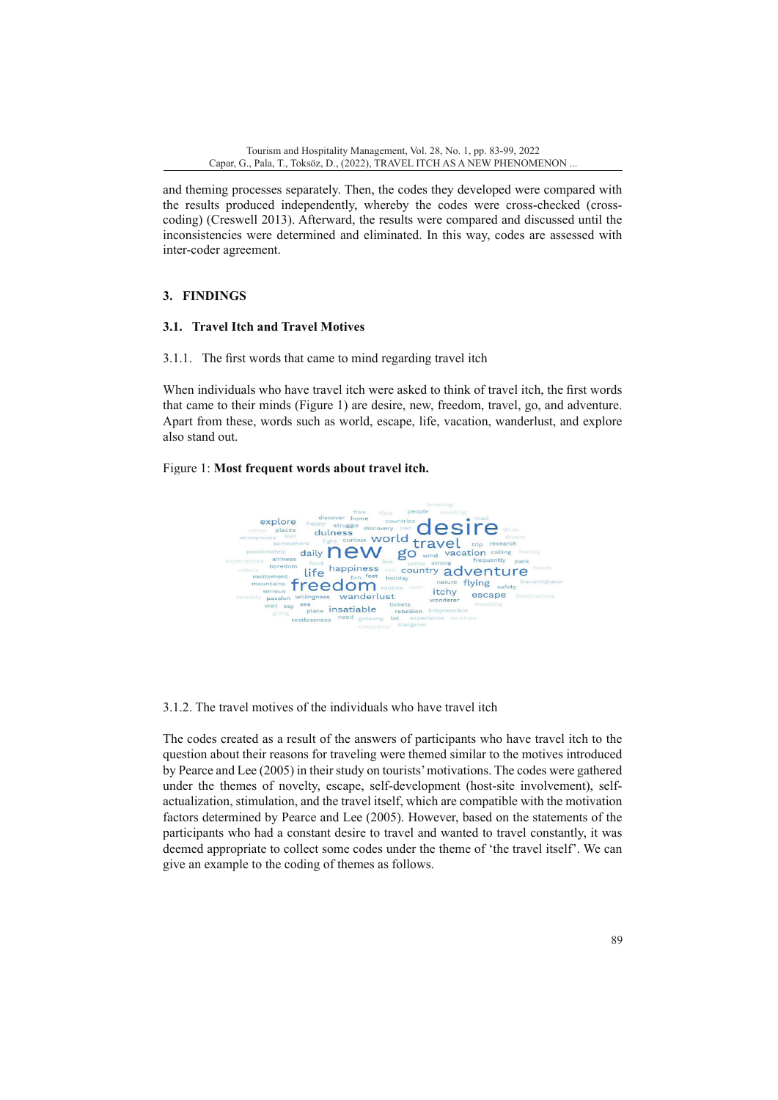and theming processes separately. Then, the codes they developed were compared with the results produced independently, whereby the codes were cross-checked (crosscoding) (Creswell 2013). Afterward, the results were compared and discussed until the inconsistencies were determined and eliminated. In this way, codes are assessed with inter-coder agreement.

# **3. FINDINGS**

### **3.1. Travel Itch and Travel Motives**

#### 3.1.1. The first words that came to mind regarding travel itch

When individuals who have travel itch were asked to think of travel itch, the first words that came to their minds (Figure 1) are desire, new, freedom, travel, go, and adventure. Apart from these, words such as world, escape, life, vacation, wanderlust, and explore also stand out.

### Figure 1: **Most frequent words about travel itch.**



3.1.2. The travel motives of the individuals who have travel itch

The codes created as a result of the answers of participants who have travel itch to the question about their reasons for traveling were themed similar to the motives introduced by Pearce and Lee (2005) in their study on tourists' motivations. The codes were gathered under the themes of novelty, escape, self-development (host-site involvement), selfactualization, stimulation, and the travel itself, which are compatible with the motivation factors determined by Pearce and Lee (2005). However, based on the statements of the participants who had a constant desire to travel and wanted to travel constantly, it was deemed appropriate to collect some codes under the theme of 'the travel itself'. We can give an example to the coding of themes as follows.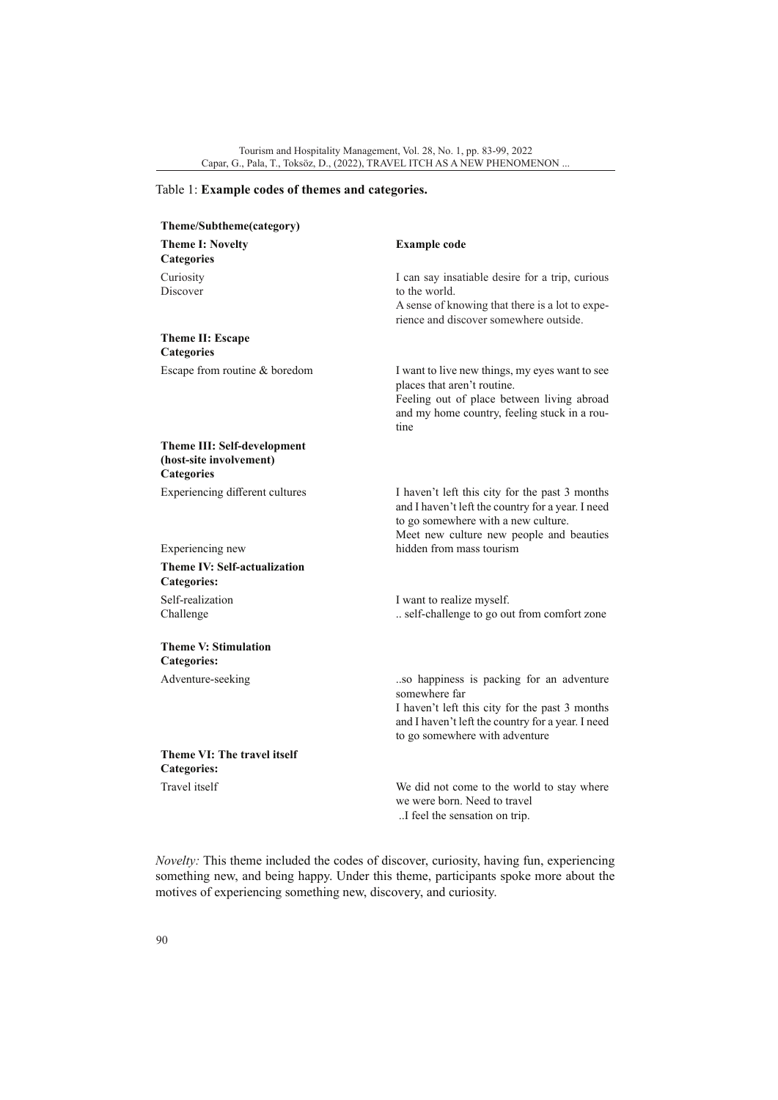Tourism and Hospitality Management, Vol. 28, No. 1, pp. 83-99, 2022 Capar, G., Pala, T., Toksöz, D., (2022), TRAVEL ITCH AS A NEW PHENOMENON ...

### Table 1: **Example codes of themes and categories.**

| Theme/Subtheme(category)                                                    |                                                                                                                                                                                                    |
|-----------------------------------------------------------------------------|----------------------------------------------------------------------------------------------------------------------------------------------------------------------------------------------------|
| <b>Theme I: Novelty</b><br>Categories                                       | <b>Example code</b>                                                                                                                                                                                |
| Curiosity<br>Discover                                                       | I can say insatiable desire for a trip, curious<br>to the world.<br>A sense of knowing that there is a lot to expe-<br>rience and discover somewhere outside.                                      |
| Theme II: Escape<br><b>Categories</b>                                       |                                                                                                                                                                                                    |
| Escape from routine & boredom                                               | I want to live new things, my eyes want to see<br>places that aren't routine.<br>Feeling out of place between living abroad<br>and my home country, feeling stuck in a rou-<br>tine                |
| Theme III: Self-development<br>(host-site involvement)<br><b>Categories</b> |                                                                                                                                                                                                    |
| Experiencing different cultures                                             | I haven't left this city for the past 3 months<br>and I haven't left the country for a year. I need<br>to go somewhere with a new culture.<br>Meet new culture new people and beauties             |
| Experiencing new                                                            | hidden from mass tourism                                                                                                                                                                           |
| Theme IV: Self-actualization<br><b>Categories:</b>                          |                                                                                                                                                                                                    |
| Self-realization<br>Challenge                                               | I want to realize myself.<br>self-challenge to go out from comfort zone                                                                                                                            |
| <b>Theme V: Stimulation</b><br><b>Categories:</b>                           |                                                                                                                                                                                                    |
| Adventure-seeking                                                           | so happiness is packing for an adventure<br>somewhere far<br>I haven't left this city for the past 3 months<br>and I haven't left the country for a year. I need<br>to go somewhere with adventure |
| Theme VI: The travel itself<br><b>Categories:</b>                           |                                                                                                                                                                                                    |
| Travel itself                                                               | We did not come to the world to stay where<br>we were born. Need to travel<br>I feel the sensation on trip.                                                                                        |

*Novelty:* This theme included the codes of discover, curiosity, having fun, experiencing something new, and being happy. Under this theme, participants spoke more about the motives of experiencing something new, discovery, and curiosity.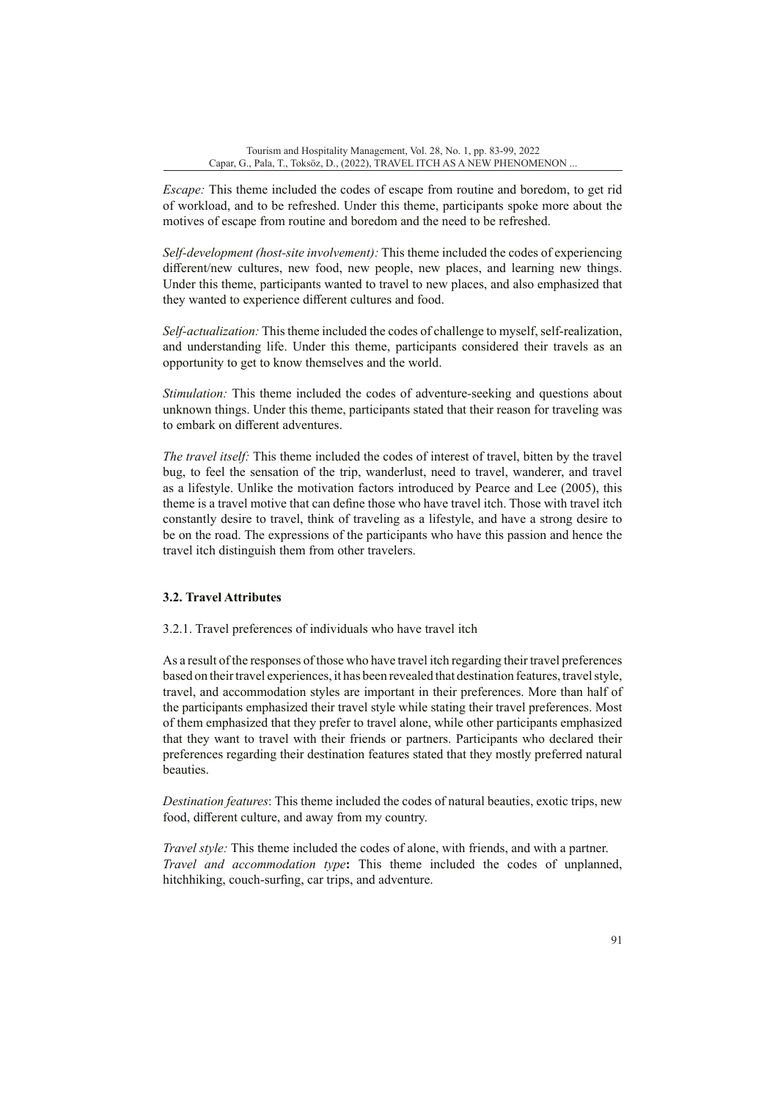*Escape:* This theme included the codes of escape from routine and boredom, to get rid of workload, and to be refreshed. Under this theme, participants spoke more about the motives of escape from routine and boredom and the need to be refreshed.

*Self-development (host-site involvement):* This theme included the codes of experiencing different/new cultures, new food, new people, new places, and learning new things. Under this theme, participants wanted to travel to new places, and also emphasized that they wanted to experience different cultures and food.

*Self-actualization:* This theme included the codes of challenge to myself, self-realization, and understanding life. Under this theme, participants considered their travels as an opportunity to get to know themselves and the world.

*Stimulation:* This theme included the codes of adventure-seeking and questions about unknown things. Under this theme, participants stated that their reason for traveling was to embark on different adventures.

*The travel itself:* This theme included the codes of interest of travel, bitten by the travel bug, to feel the sensation of the trip, wanderlust, need to travel, wanderer, and travel as a lifestyle. Unlike the motivation factors introduced by Pearce and Lee (2005), this theme is a travel motive that can define those who have travel itch. Those with travel itch constantly desire to travel, think of traveling as a lifestyle, and have a strong desire to be on the road. The expressions of the participants who have this passion and hence the travel itch distinguish them from other travelers.

### **3.2. Travel Attributes**

3.2.1. Travel preferences of individuals who have travel itch

As a result of the responses of those who have travel itch regarding their travel preferences based on their travel experiences, it has been revealed that destination features, travel style, travel, and accommodation styles are important in their preferences. More than half of the participants emphasized their travel style while stating their travel preferences. Most of them emphasized that they prefer to travel alone, while other participants emphasized that they want to travel with their friends or partners. Participants who declared their preferences regarding their destination features stated that they mostly preferred natural beauties.

*Destination features*: This theme included the codes of natural beauties, exotic trips, new food, different culture, and away from my country.

*Travel style:* This theme included the codes of alone, with friends, and with a partner. *Travel and accommodation type***:** This theme included the codes of unplanned, hitchhiking, couch-surfing, car trips, and adventure.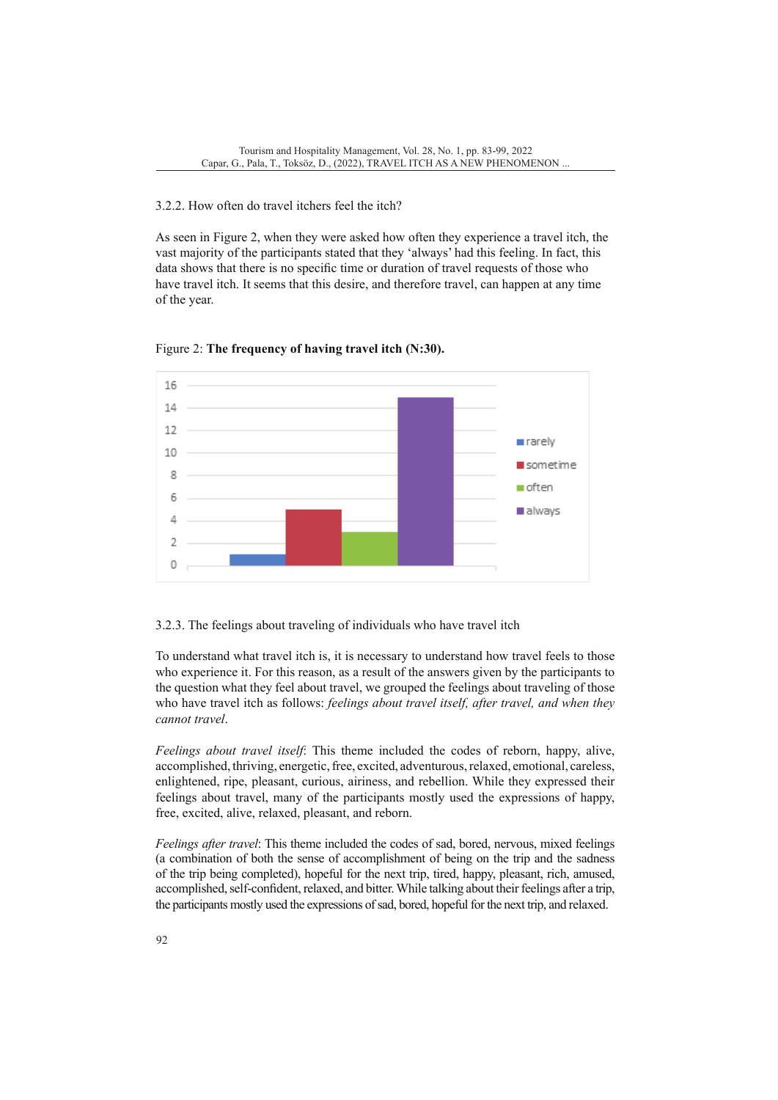#### 3.2.2. How often do travel itchers feel the itch?

As seen in Figure 2, when they were asked how often they experience a travel itch, the vast majority of the participants stated that they 'always' had this feeling. In fact, this data shows that there is no specific time or duration of travel requests of those who have travel itch. It seems that this desire, and therefore travel, can happen at any time of the year.



Figure 2: **The frequency of having travel itch (N:30).**

3.2.3. The feelings about traveling of individuals who have travel itch

To understand what travel itch is, it is necessary to understand how travel feels to those who experience it. For this reason, as a result of the answers given by the participants to the question what they feel about travel, we grouped the feelings about traveling of those who have travel itch as follows: *feelings about travel itself, after travel, and when they cannot travel*.

*Feelings about travel itself*: This theme included the codes of reborn, happy, alive, accomplished, thriving, energetic, free, excited, adventurous, relaxed, emotional, careless, enlightened, ripe, pleasant, curious, airiness, and rebellion. While they expressed their feelings about travel, many of the participants mostly used the expressions of happy, free, excited, alive, relaxed, pleasant, and reborn.

*Feelings after travel*: This theme included the codes of sad, bored, nervous, mixed feelings (a combination of both the sense of accomplishment of being on the trip and the sadness of the trip being completed), hopeful for the next trip, tired, happy, pleasant, rich, amused, accomplished, self-confident, relaxed, and bitter. While talking about their feelings after a trip, the participants mostly used the expressions of sad, bored, hopeful for the next trip, and relaxed.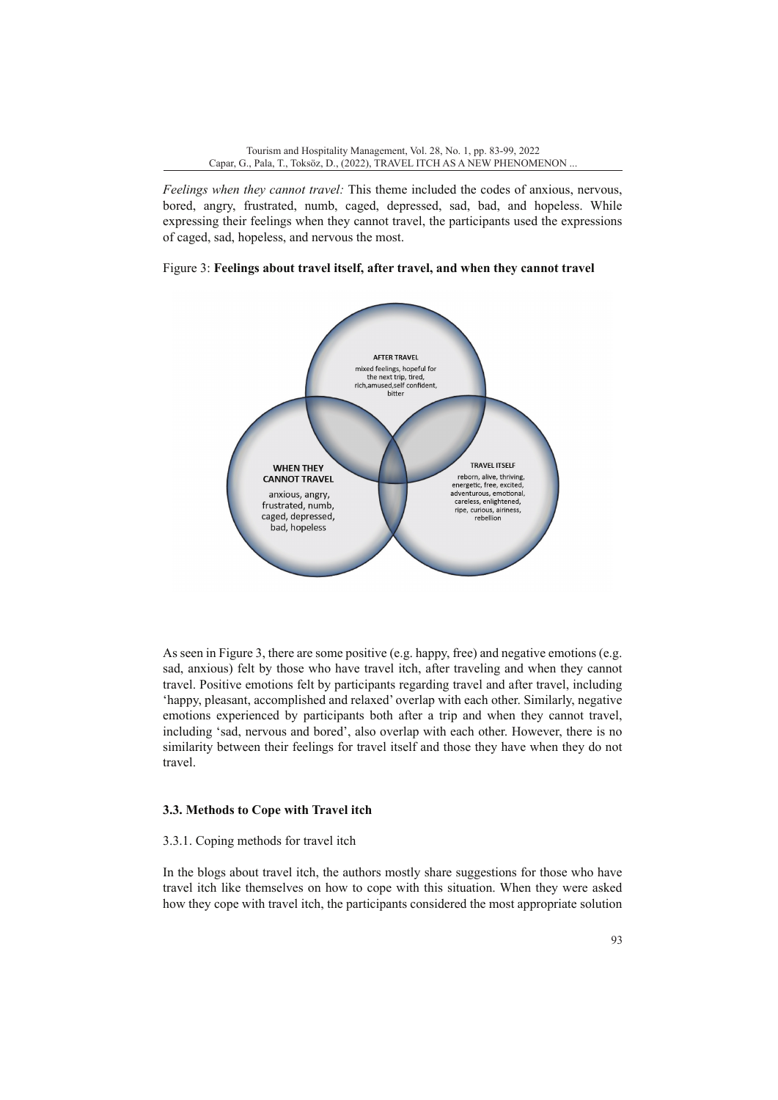*Feelings when they cannot travel:* This theme included the codes of anxious, nervous, bored, angry, frustrated, numb, caged, depressed, sad, bad, and hopeless. While expressing their feelings when they cannot travel, the participants used the expressions of caged, sad, hopeless, and nervous the most.

### Figure 3: **Feelings about travel itself, after travel, and when they cannot travel**



As seen in Figure 3, there are some positive (e.g. happy, free) and negative emotions (e.g. sad, anxious) felt by those who have travel itch, after traveling and when they cannot travel. Positive emotions felt by participants regarding travel and after travel, including 'happy, pleasant, accomplished and relaxed' overlap with each other. Similarly, negative emotions experienced by participants both after a trip and when they cannot travel, including 'sad, nervous and bored', also overlap with each other. However, there is no similarity between their feelings for travel itself and those they have when they do not travel.

#### **3.3. Methods to Cope with Travel itch**

#### 3.3.1. Coping methods for travel itch

In the blogs about travel itch, the authors mostly share suggestions for those who have travel itch like themselves on how to cope with this situation. When they were asked how they cope with travel itch, the participants considered the most appropriate solution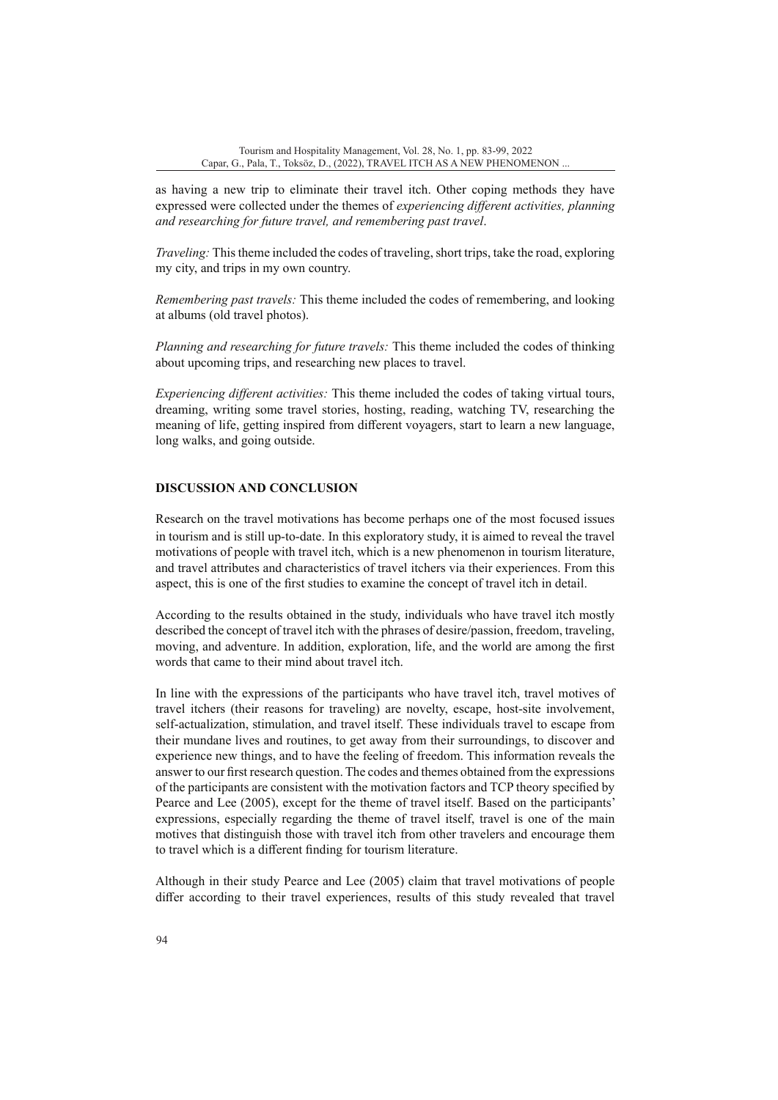as having a new trip to eliminate their travel itch. Other coping methods they have expressed were collected under the themes of *experiencing different activities, planning and researching for future travel, and remembering past travel*.

*Traveling:* This theme included the codes of traveling, short trips, take the road, exploring my city, and trips in my own country.

*Remembering past travels:* This theme included the codes of remembering, and looking at albums (old travel photos).

*Planning and researching for future travels:* This theme included the codes of thinking about upcoming trips, and researching new places to travel.

*Experiencing different activities:* This theme included the codes of taking virtual tours, dreaming, writing some travel stories, hosting, reading, watching TV, researching the meaning of life, getting inspired from different voyagers, start to learn a new language, long walks, and going outside.

#### **DISCUSSION AND CONCLUSION**

Research on the travel motivations has become perhaps one of the most focused issues in tourism and is still up-to-date. In this exploratory study, it is aimed to reveal the travel motivations of people with travel itch, which is a new phenomenon in tourism literature, and travel attributes and characteristics of travel itchers via their experiences. From this aspect, this is one of the first studies to examine the concept of travel itch in detail.

According to the results obtained in the study, individuals who have travel itch mostly described the concept of travel itch with the phrases of desire/passion, freedom, traveling, moving, and adventure. In addition, exploration, life, and the world are among the first words that came to their mind about travel itch.

In line with the expressions of the participants who have travel itch, travel motives of travel itchers (their reasons for traveling) are novelty, escape, host-site involvement, self-actualization, stimulation, and travel itself. These individuals travel to escape from their mundane lives and routines, to get away from their surroundings, to discover and experience new things, and to have the feeling of freedom. This information reveals the answer to our first research question. The codes and themes obtained from the expressions of the participants are consistent with the motivation factors and TCP theory specified by Pearce and Lee (2005), except for the theme of travel itself. Based on the participants' expressions, especially regarding the theme of travel itself, travel is one of the main motives that distinguish those with travel itch from other travelers and encourage them to travel which is a different finding for tourism literature.

Although in their study Pearce and Lee (2005) claim that travel motivations of people differ according to their travel experiences, results of this study revealed that travel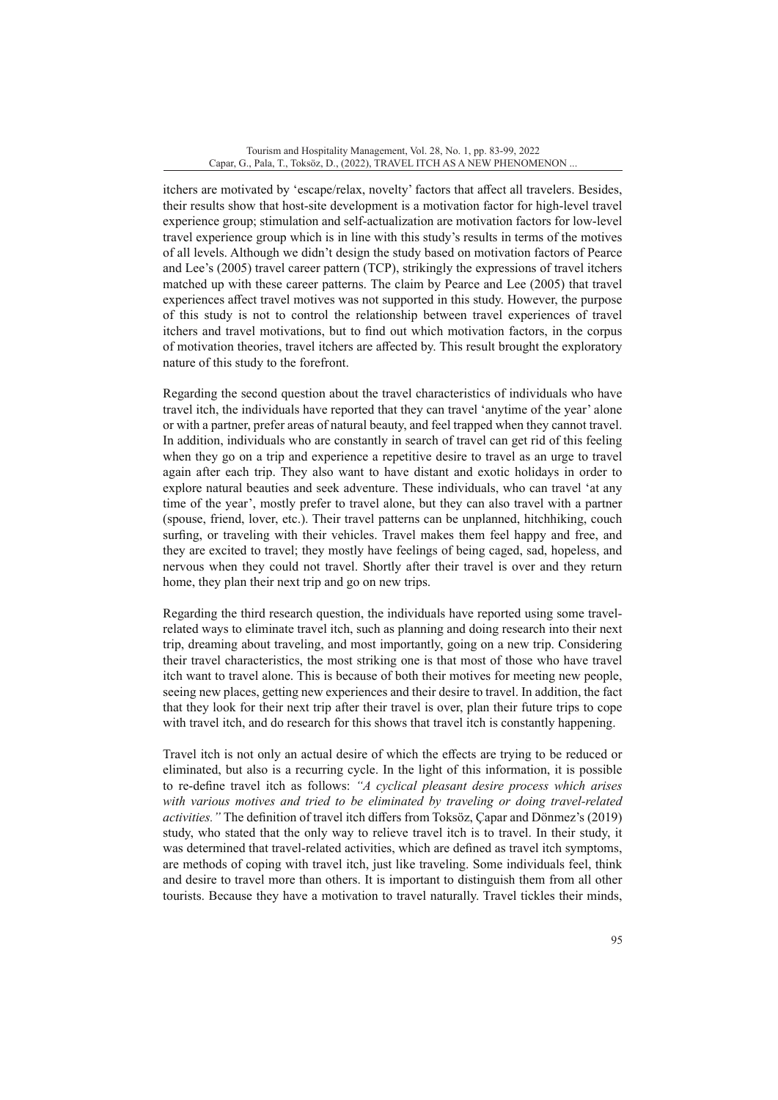itchers are motivated by 'escape/relax, novelty' factors that affect all travelers. Besides, their results show that host-site development is a motivation factor for high-level travel experience group; stimulation and self-actualization are motivation factors for low-level travel experience group which is in line with this study's results in terms of the motives of all levels. Although we didn't design the study based on motivation factors of Pearce and Lee's (2005) travel career pattern (TCP), strikingly the expressions of travel itchers matched up with these career patterns. The claim by Pearce and Lee (2005) that travel experiences affect travel motives was not supported in this study. However, the purpose of this study is not to control the relationship between travel experiences of travel itchers and travel motivations, but to find out which motivation factors, in the corpus of motivation theories, travel itchers are affected by. This result brought the exploratory nature of this study to the forefront.

Regarding the second question about the travel characteristics of individuals who have travel itch, the individuals have reported that they can travel 'anytime of the year' alone or with a partner, prefer areas of natural beauty, and feel trapped when they cannot travel. In addition, individuals who are constantly in search of travel can get rid of this feeling when they go on a trip and experience a repetitive desire to travel as an urge to travel again after each trip. They also want to have distant and exotic holidays in order to explore natural beauties and seek adventure. These individuals, who can travel 'at any time of the year', mostly prefer to travel alone, but they can also travel with a partner (spouse, friend, lover, etc.). Their travel patterns can be unplanned, hitchhiking, couch surfing, or traveling with their vehicles. Travel makes them feel happy and free, and they are excited to travel; they mostly have feelings of being caged, sad, hopeless, and nervous when they could not travel. Shortly after their travel is over and they return home, they plan their next trip and go on new trips.

Regarding the third research question, the individuals have reported using some travelrelated ways to eliminate travel itch, such as planning and doing research into their next trip, dreaming about traveling, and most importantly, going on a new trip. Considering their travel characteristics, the most striking one is that most of those who have travel itch want to travel alone. This is because of both their motives for meeting new people, seeing new places, getting new experiences and their desire to travel. In addition, the fact that they look for their next trip after their travel is over, plan their future trips to cope with travel itch, and do research for this shows that travel itch is constantly happening.

Travel itch is not only an actual desire of which the effects are trying to be reduced or eliminated, but also is a recurring cycle. In the light of this information, it is possible to re-define travel itch as follows: *"A cyclical pleasant desire process which arises with various motives and tried to be eliminated by traveling or doing travel-related activities."* The definition of travel itch differs from Toksöz, Çapar and Dönmez's (2019) study, who stated that the only way to relieve travel itch is to travel. In their study, it was determined that travel-related activities, which are defined as travel itch symptoms, are methods of coping with travel itch, just like traveling. Some individuals feel, think and desire to travel more than others. It is important to distinguish them from all other tourists. Because they have a motivation to travel naturally. Travel tickles their minds,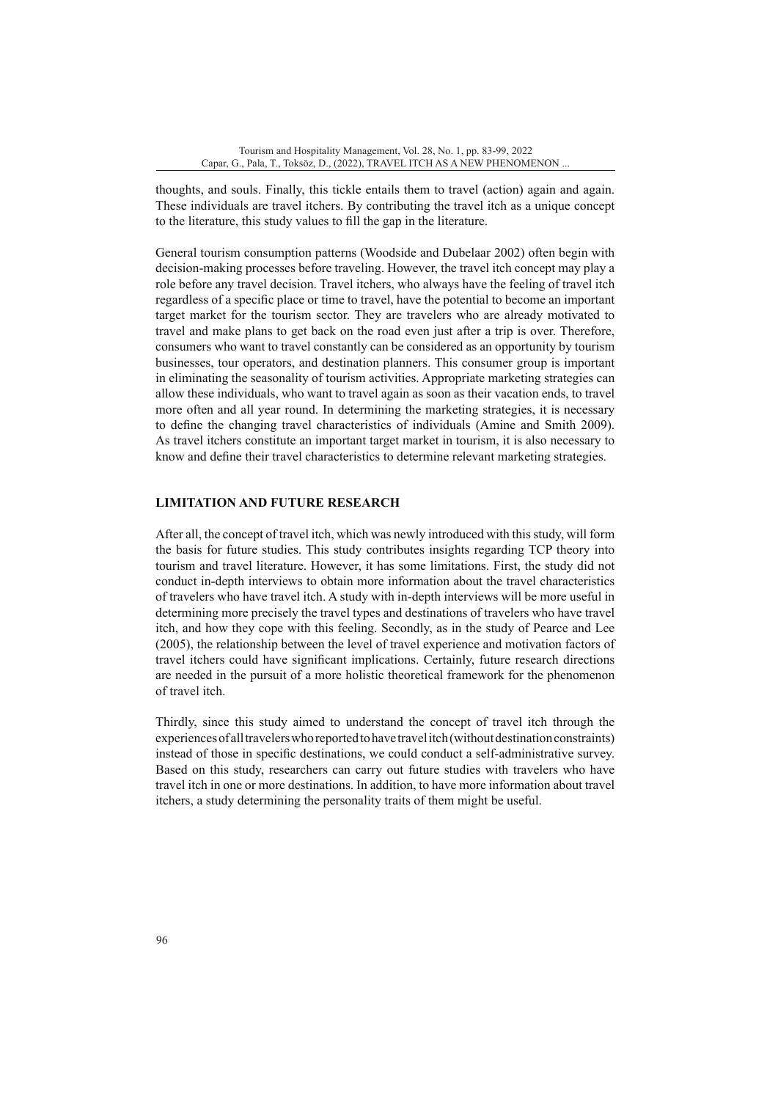thoughts, and souls. Finally, this tickle entails them to travel (action) again and again. These individuals are travel itchers. By contributing the travel itch as a unique concept to the literature, this study values to fill the gap in the literature.

General tourism consumption patterns (Woodside and Dubelaar 2002) often begin with decision-making processes before traveling. However, the travel itch concept may play a role before any travel decision. Travel itchers, who always have the feeling of travel itch regardless of a specific place or time to travel, have the potential to become an important target market for the tourism sector. They are travelers who are already motivated to travel and make plans to get back on the road even just after a trip is over. Therefore, consumers who want to travel constantly can be considered as an opportunity by tourism businesses, tour operators, and destination planners. This consumer group is important in eliminating the seasonality of tourism activities. Appropriate marketing strategies can allow these individuals, who want to travel again as soon as their vacation ends, to travel more often and all year round. In determining the marketing strategies, it is necessary to define the changing travel characteristics of individuals (Amine and Smith 2009). As travel itchers constitute an important target market in tourism, it is also necessary to know and define their travel characteristics to determine relevant marketing strategies.

#### **LIMITATION AND FUTURE RESEARCH**

After all, the concept of travel itch, which was newly introduced with this study, will form the basis for future studies. This study contributes insights regarding TCP theory into tourism and travel literature. However, it has some limitations. First, the study did not conduct in-depth interviews to obtain more information about the travel characteristics of travelers who have travel itch. A study with in-depth interviews will be more useful in determining more precisely the travel types and destinations of travelers who have travel itch, and how they cope with this feeling. Secondly, as in the study of Pearce and Lee (2005), the relationship between the level of travel experience and motivation factors of travel itchers could have significant implications. Certainly, future research directions are needed in the pursuit of a more holistic theoretical framework for the phenomenon of travel itch.

Thirdly, since this study aimed to understand the concept of travel itch through the experiences of all travelers who reported to have travel itch (without destination constraints) instead of those in specific destinations, we could conduct a self-administrative survey. Based on this study, researchers can carry out future studies with travelers who have travel itch in one or more destinations. In addition, to have more information about travel itchers, a study determining the personality traits of them might be useful.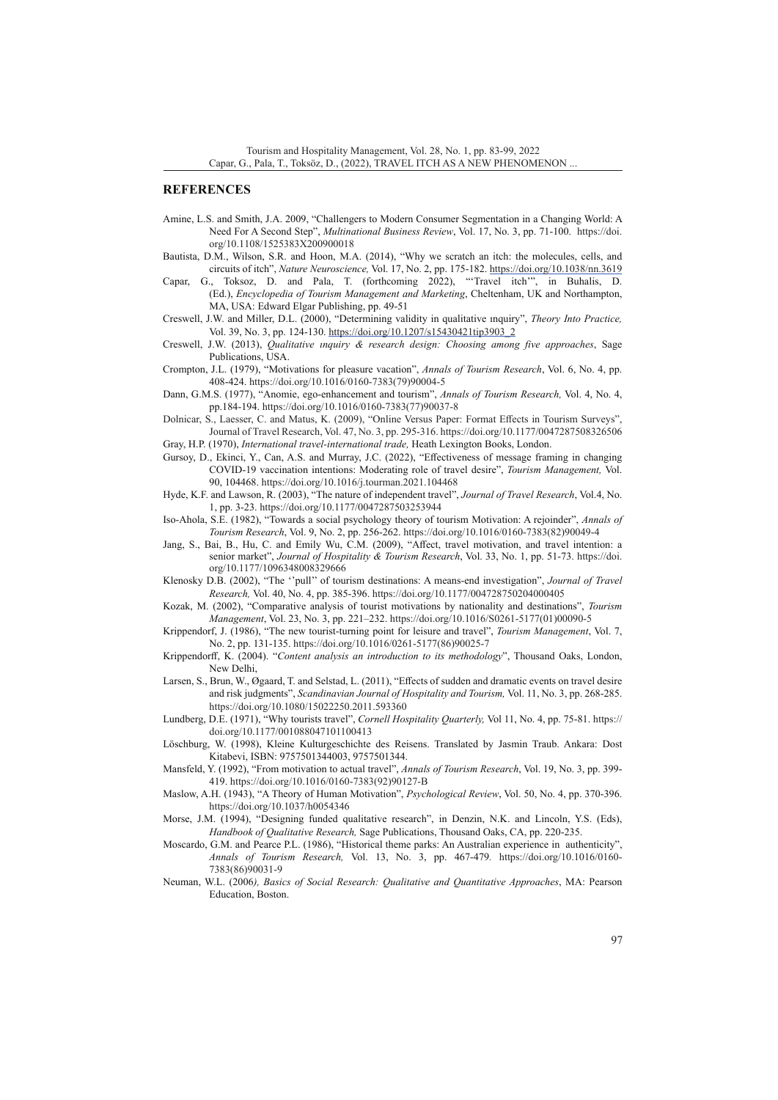#### **REFERENCES**

- Amine, L.S. and Smith, J.A. 2009, "Challengers to Modern Consumer Segmentation in a Changing World: A Need For A Second Step", *Multinational Business Review*, Vol. 17, No. 3, pp. 71-100. [https://doi.](https://doi.org/10.1108/1525383X200900018) [org/10.1108/1525383X200900018](https://doi.org/10.1108/1525383X200900018)
- Bautista, D.M., Wilson, S.R. and Hoon, M.A. (2014), "Why we scratch an itch: the molecules, cells, and circuits of itch", *Nature Neuroscience,* Vol. 17, No. 2, pp. 175-182. <https://doi.org/10.1038/nn.3619>
- Capar, G., Toksoz, D. and Pala, T. (forthcoming 2022), "'Travel itch'", in Buhalis, D. (Ed.), *Encyclopedia of Tourism Management and Marketing*, Cheltenham, UK and Northampton, MA, USA: Edward Elgar Publishing, pp. 49-51
- Creswell, J.W. and Miller, D.L. (2000), "Determining validity in qualitative ınquiry", *Theory Into Practice,*  Vol. 39, No. 3, pp. 124-130. [https://doi.org/10.1207/s15430421tip3903\\_2](https://doi.org/10.1207/s15430421tip3903_2)
- Creswell, J.W. (2013), *Qualitative ınquiry & research design: Choosing among five approaches*, Sage Publications, USA.
- Crompton, J.L. (1979), "Motivations for pleasure vacation", *Annals of Tourism Research*, Vol. 6, No. 4, pp. 408-424. [https://doi.org/10.1016/0160-7383\(79\)90004-5](https://doi.org/10.1016/0160-7383(79)90004-5)
- Dann, G.M.S. (1977), "Anomie, ego-enhancement and tourism", *Annals of Tourism Research,* Vol. 4, No. 4, pp.184-194. [https://doi.org/10.1016/0160-7383\(77\)90037-8](https://doi.org/10.1016/0160-7383(77)90037-8)
- Dolnicar, S., Laesser, C. and Matus, K. (2009), "Online Versus Paper: Format Effects in Tourism Surveys", Journal of Travel Research, Vol. 47, No. 3, pp. 295-316. https://doi.org/10.1177/0047287508326506 Gray, H.P. (1970), *International travel-international trade,* Heath Lexington Books, London.
- Gursoy, D., Ekinci, Y., Can, A.S. and Murray, J.C. (2022), "Effectiveness of message framing in changing COVID-19 vaccination intentions: Moderating role of travel desire", *Tourism Management,* Vol. 90, 104468.<https://doi.org/10.1016/j.tourman.2021.104468>
- Hyde, K.F. and Lawson, R. (2003), "The nature of independent travel", *Journal of Travel Research*, Vol.4, No. 1, pp. 3-23. [https://doi.org/10.1177/0047287503253944](https://doi.org/10.1177%2F0047287503253944)
- Iso-Ahola, S.E. (1982), "Towards a social psychology theory of tourism Motivation: A rejoinder", *Annals of Tourism Research*, Vol. 9, No. 2, pp. 256-262. [https://doi.org/10.1016/0160-7383\(82\)90049-4](https://doi.org/10.1016/0160-7383(82)90049-4)
- Jang, S., Bai, B., Hu, C. and Emily Wu, C.M. (2009), "Affect, travel motivation, and travel intention: a senior market", *Journal of Hospitality & Tourism Research*, Vol. 33, No. 1, pp. 51-73. [https://doi.](https://doi.org/10.1177%2F1096348008329666) [org/10.1177/1096348008329666](https://doi.org/10.1177%2F1096348008329666)
- Klenosky D.B. (2002), "The ''pull'' of tourism destinations: A means-end investigation", *Journal of Travel Research,* Vol. 40, No. 4, pp. 385-396. [https://doi.org/10.1177/004728750204000405](https://doi.org/10.1177%2F004728750204000405)
- Kozak, M. (2002), "Comparative analysis of tourist motivations by nationality and destinations", *Tourism Management*, Vol. 23, No. 3, pp. 221–232. [https://doi.org/10.1016/S0261-5177\(01\)00090-5](https://doi.org/10.1016/S0261-5177(01)00090-5)
- Krippendorf, J. (1986), "The new tourist-turning point for leisure and travel", *Tourism Management*, Vol. 7, No. 2, pp. 131-135. [https://doi.org/10.1016/0261-5177\(86\)90025-7](https://doi.org/10.1016/0261-5177(86)90025-7)
- Krippendorff, K. (2004). "*Content analysis an introduction to its methodology*", Thousand Oaks, London, New Delhi,
- Larsen, S., Brun, W., Øgaard, T. and Selstad, L. (2011), "Effects of sudden and dramatic events on travel desire and risk judgments", *Scandinavian Journal of Hospitality and Tourism,* Vol. 11, No. 3, pp. 268-285. <https://doi.org/10.1080/15022250.2011.593360>
- Lundberg, D.E. (1971), "Why tourists travel", *Cornell Hospitality Quarterly,* Vol 11, No. 4, pp. 75-81. [https://](https://doi.org/10.1177%2F001088047101100413) [doi.org/10.1177/001088047101100413](https://doi.org/10.1177%2F001088047101100413)
- Löschburg, W. (1998), Kleine Kulturgeschichte des Reisens. Translated by Jasmin Traub. Ankara: Dost Kitabevi, ISBN: 9757501344003, 9757501344.
- Mansfeld, Y. (1992), "From motivation to actual travel", *Annals of Tourism Research*, Vol. 19, No. 3, pp. 399- 419. [https://doi.org/10.1016/0160-7383\(92\)90127-B](https://doi.org/10.1016/0160-7383(92)90127-B)
- Maslow, A.H. (1943), "A Theory of Human Motivation", *Psychological Review*, Vol. 50, No. 4, pp. 370-396. [https://doi.org/10.1037/h0054346](https://psycnet.apa.org/doi/10.1037/h0054346)
- Morse, J.M. (1994), "Designing funded qualitative research", in Denzin, N.K. and Lincoln, Y.S. (Eds), *Handbook of Qualitative Research,* Sage Publications, Thousand Oaks, CA, pp. 220-235.
- Moscardo, G.M. and Pearce P.L. (1986), "Historical theme parks: An Australian experience in authenticity", *Annals of Tourism Research,* Vol. 13, No. 3, pp. 467-479*.* [https://doi.org/10.1016/0160-](https://doi.org/10.1016/0160-7383(86)90031-9) [7383\(86\)90031-9](https://doi.org/10.1016/0160-7383(86)90031-9)
- Neuman, W.L. (2006*), Basics of Social Research: Qualitative and Quantitative Approaches*, MA: Pearson Education, Boston.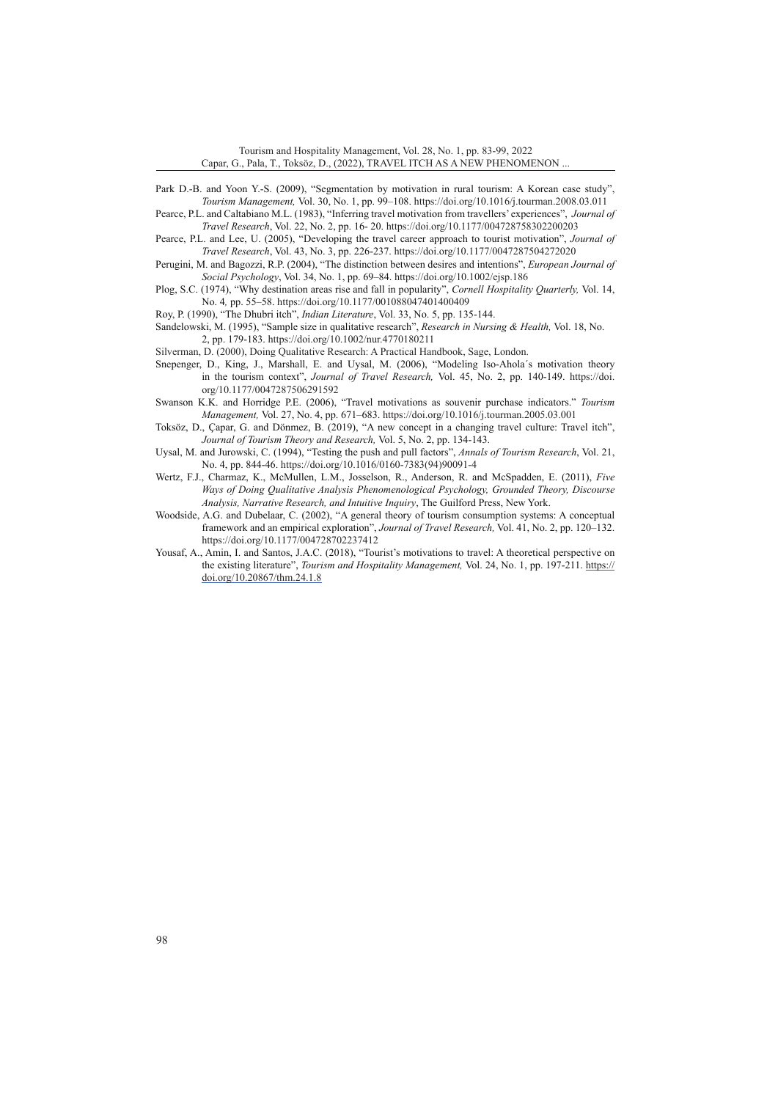Park D.-B. and Yoon Y.-S. (2009), "Segmentation by motivation in rural tourism: A Korean case study", *Tourism Management,* Vol. 30, No. 1, pp. 99–108. <https://doi.org/10.1016/j.tourman.2008.03.011>

- Pearce, P.L. and Caltabiano M.L. (1983), "Inferring travel motivation from travellers' experiences", *Journal of Travel Research*, Vol. 22, No. 2, pp. 16- 20. [https://doi.org/10.1177/004728758302200203](https://doi.org/10.1177%2F004728758302200203)
- Pearce, P.L. and Lee, U. (2005), "Developing the travel career approach to tourist motivation", *Journal of Travel Research*, Vol. 43, No. 3, pp. 226-237. [https://doi.org/10.1177/0047287504272020](https://doi.org/10.1177%2F0047287504272020)
- Perugini, M. and Bagozzi, R.P. (2004), "The distinction between desires and intentions", *European Journal of Social Psychology*, Vol. 34, No. 1, pp. 69–84. [https://doi.org/10.1002/ejsp.186](https://psycnet.apa.org/doi/10.1002/ejsp.186)
- Plog, S.C. (1974), "Why destination areas rise and fall in popularity", *Cornell Hospitality Quarterly,* Vol. 14, No. 4*,* pp. 55–58. [https://doi.org/10.1177/001088047401400409](https://doi.org/10.1177%2F001088047401400409)
- Roy, P. (1990), "The Dhubri itch", *Indian Literature*, Vol. 33, No. 5, pp. 135-144.
- Sandelowski, M. (1995), "Sample size in qualitative research", *Research in Nursing & Health,* Vol. 18, No. 2, pp. 179-183.<https://doi.org/10.1002/nur.4770180211>
- Silverman, D. (2000), Doing Qualitative Research: A Practical Handbook, Sage, London.
- Snepenger, D., King, J., Marshall, E. and Uysal, M. (2006), "Modeling Iso-Ahola´s motivation theory in the tourism context", *Journal of Travel Research,* Vol. 45, No. 2, pp. 140-149. [https://doi.](https://doi.org/10.1177%2F0047287506291592) [org/10.1177/0047287506291592](https://doi.org/10.1177%2F0047287506291592)
- Swanson K.K. and Horridge P.E. (2006), "Travel motivations as souvenir purchase indicators." *Tourism Management,* Vol. 27, No. 4, pp. 671–683.<https://doi.org/10.1016/j.tourman.2005.03.001>
- Toksöz, D., Çapar, G. and Dönmez, B. (2019), "A new concept in a changing travel culture: Travel itch", *Journal of Tourism Theory and Research,* Vol. 5, No. 2, pp. 134-143.
- Uysal, M. and Jurowski, C. (1994), "Testing the push and pull factors", *Annals of Tourism Research*, Vol. 21, No. 4, pp. 844-46. [https://doi.org/10.1016/0160-7383\(94\)90091-4](https://doi.org/10.1016/0160-7383(94)90091-4)
- Wertz, F.J., Charmaz, K., McMullen, L.M., Josselson, R., Anderson, R. and McSpadden, E. (2011), *Five Ways of Doing Qualitative Analysis Phenomenological Psychology, Grounded Theory, Discourse Analysis, Narrative Research, and Intuitive Inquiry*, The Guilford Press, New York.
- Woodside, A.G. and Dubelaar, C. (2002), "A general theory of tourism consumption systems: A conceptual framework and an empirical exploration", *Journal of Travel Research,* Vol. 41, No. 2, pp. 120–132. [https://doi.org/10.1177/004728702237412](https://doi.org/10.1177%2F004728702237412)
- Yousaf, A., Amin, I. and Santos, J.A.C. (2018), "Tourist's motivations to travel: A theoretical perspective on the existing literature", *Tourism and Hospitality Management,* Vol. 24, No. 1, pp. 197-211. [https://](https://doi.org/10.20867/thm.24.1.8) [doi.org/10.20867/thm.24.1.8](https://doi.org/10.20867/thm.24.1.8)